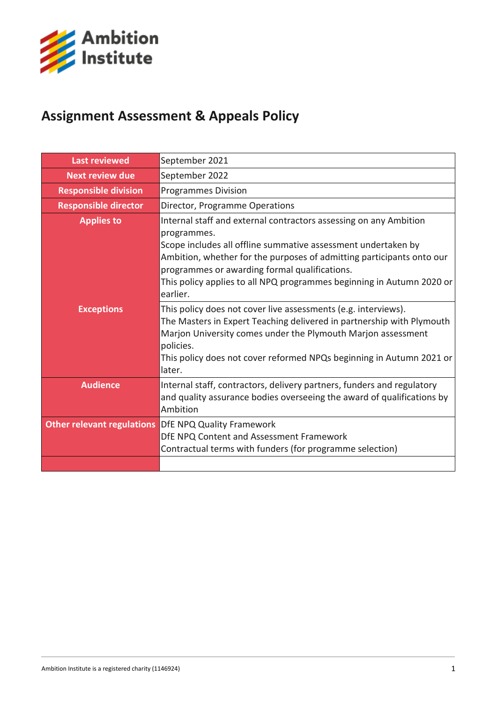

# **Assignment Assessment & Appeals Policy**

| <b>Last reviewed</b>              | September 2021                                                                                                                                                                                                                                                                                         |  |  |
|-----------------------------------|--------------------------------------------------------------------------------------------------------------------------------------------------------------------------------------------------------------------------------------------------------------------------------------------------------|--|--|
| Next review due                   | September 2022                                                                                                                                                                                                                                                                                         |  |  |
| <b>Responsible division</b>       | <b>Programmes Division</b>                                                                                                                                                                                                                                                                             |  |  |
| <b>Responsible director</b>       | Director, Programme Operations                                                                                                                                                                                                                                                                         |  |  |
| <b>Applies to</b>                 | Internal staff and external contractors assessing on any Ambition                                                                                                                                                                                                                                      |  |  |
|                                   | programmes.                                                                                                                                                                                                                                                                                            |  |  |
|                                   | Scope includes all offline summative assessment undertaken by                                                                                                                                                                                                                                          |  |  |
|                                   | Ambition, whether for the purposes of admitting participants onto our<br>programmes or awarding formal qualifications.                                                                                                                                                                                 |  |  |
|                                   | This policy applies to all NPQ programmes beginning in Autumn 2020 or<br>earlier.                                                                                                                                                                                                                      |  |  |
| <b>Exceptions</b>                 | This policy does not cover live assessments (e.g. interviews).<br>The Masters in Expert Teaching delivered in partnership with Plymouth<br>Marjon University comes under the Plymouth Marjon assessment<br>policies.<br>This policy does not cover reformed NPQs beginning in Autumn 2021 or<br>later. |  |  |
| <b>Audience</b>                   | Internal staff, contractors, delivery partners, funders and regulatory<br>and quality assurance bodies overseeing the award of qualifications by<br>Ambition                                                                                                                                           |  |  |
| <b>Other relevant regulations</b> | <b>DfE NPQ Quality Framework</b>                                                                                                                                                                                                                                                                       |  |  |
|                                   | DfE NPQ Content and Assessment Framework                                                                                                                                                                                                                                                               |  |  |
|                                   | Contractual terms with funders (for programme selection)                                                                                                                                                                                                                                               |  |  |
|                                   |                                                                                                                                                                                                                                                                                                        |  |  |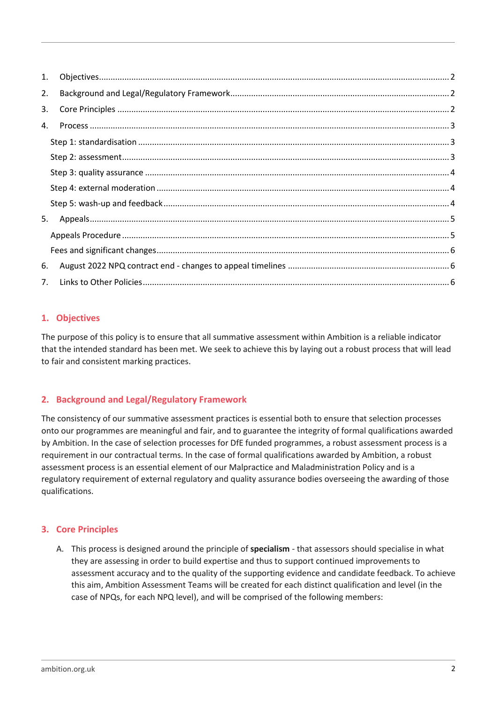| 1. |  |
|----|--|
| 2. |  |
| 3. |  |
| 4. |  |
|    |  |
|    |  |
|    |  |
|    |  |
|    |  |
| 5. |  |
|    |  |
|    |  |
| 6. |  |
| 7. |  |

# <span id="page-1-0"></span>**1. Objectives**

The purpose of this policy is to ensure that all summative assessment within Ambition is a reliable indicator that the intended standard has been met. We seek to achieve this by laying out a robust process that will lead to fair and consistent marking practices.

# <span id="page-1-1"></span>**2. Background and Legal/Regulatory Framework**

The consistency of our summative assessment practices is essential both to ensure that selection processes onto our programmes are meaningful and fair, and to guarantee the integrity of formal qualifications awarded by Ambition. In the case of selection processes for DfE funded programmes, a robust assessment process is a requirement in our contractual terms. In the case of formal qualifications awarded by Ambition, a robust assessment process is an essential element of our Malpractice and Maladministration Policy and is a regulatory requirement of external regulatory and quality assurance bodies overseeing the awarding of those qualifications.

# <span id="page-1-2"></span>**3. Core Principles**

A. This process is designed around the principle of **specialism** - that assessors should specialise in what they are assessing in order to build expertise and thus to support continued improvements to assessment accuracy and to the quality of the supporting evidence and candidate feedback. To achieve this aim, Ambition Assessment Teams will be created for each distinct qualification and level (in the case of NPQs, for each NPQ level), and will be comprised of the following members: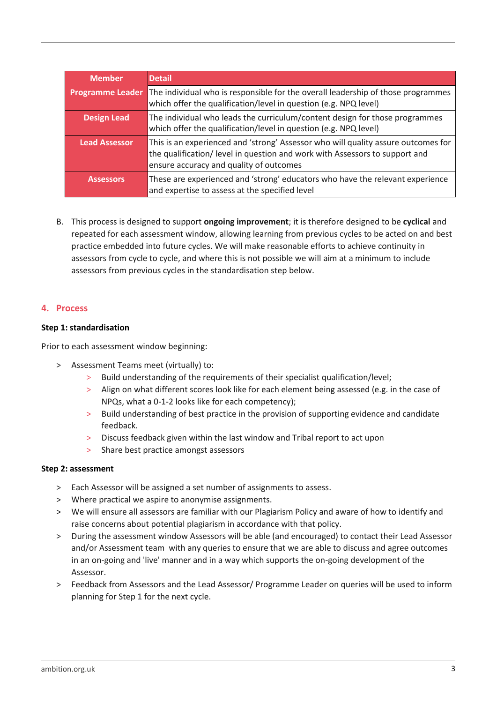| <b>Member</b>           | <b>Detail</b>                                                                                                                                                                                               |
|-------------------------|-------------------------------------------------------------------------------------------------------------------------------------------------------------------------------------------------------------|
| <b>Programme Leader</b> | The individual who is responsible for the overall leadership of those programmes<br>which offer the qualification/level in question (e.g. NPQ level)                                                        |
| <b>Design Lead</b>      | The individual who leads the curriculum/content design for those programmes<br>which offer the qualification/level in question (e.g. NPQ level)                                                             |
| <b>Lead Assessor</b>    | This is an experienced and 'strong' Assessor who will quality assure outcomes for<br>the qualification/ level in question and work with Assessors to support and<br>ensure accuracy and quality of outcomes |
| <b>Assessors</b>        | These are experienced and 'strong' educators who have the relevant experience<br>and expertise to assess at the specified level                                                                             |

B. This process is designed to support **ongoing improvement**; it is therefore designed to be **cyclical** and repeated for each assessment window, allowing learning from previous cycles to be acted on and best practice embedded into future cycles. We will make reasonable efforts to achieve continuity in assessors from cycle to cycle, and where this is not possible we will aim at a minimum to include assessors from previous cycles in the standardisation step below.

## <span id="page-2-0"></span>**4. Process**

#### <span id="page-2-1"></span>**Step 1: standardisation**

Prior to each assessment window beginning:

- > Assessment Teams meet (virtually) to:
	- > Build understanding of the requirements of their specialist qualification/level;
	- > Align on what different scores look like for each element being assessed (e.g. in the case of NPQs, what a 0-1-2 looks like for each competency);
	- > Build understanding of best practice in the provision of supporting evidence and candidate feedback.
	- > Discuss feedback given within the last window and Tribal report to act upon
	- > Share best practice amongst assessors

#### <span id="page-2-2"></span>**Step 2: assessment**

- > Each Assessor will be assigned a set number of assignments to assess.
- > Where practical we aspire to anonymise assignments.
- > We will ensure all assessors are familiar with our Plagiarism Policy and aware of how to identify and raise concerns about potential plagiarism in accordance with that policy.
- > During the assessment window Assessors will be able (and encouraged) to contact their Lead Assessor and/or Assessment team with any queries to ensure that we are able to discuss and agree outcomes in an on-going and 'live' manner and in a way which supports the on-going development of the Assessor.
- > Feedback from Assessors and the Lead Assessor/ Programme Leader on queries will be used to inform planning for Step 1 for the next cycle.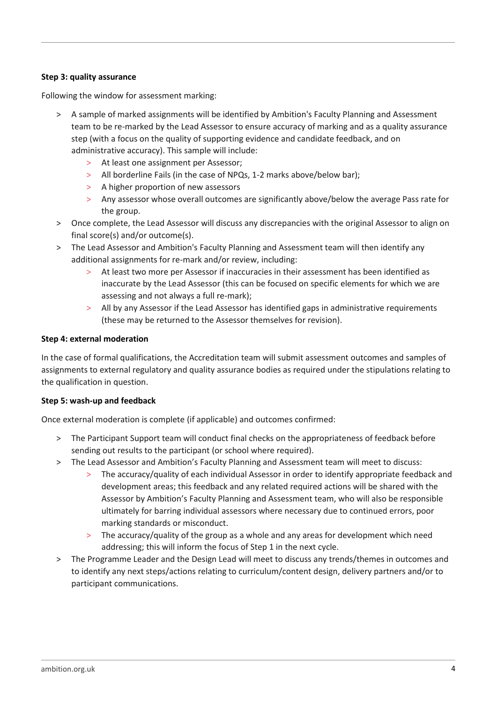## <span id="page-3-0"></span>**Step 3: quality assurance**

Following the window for assessment marking:

- > A sample of marked assignments will be identified by Ambition's Faculty Planning and Assessment team to be re-marked by the Lead Assessor to ensure accuracy of marking and as a quality assurance step (with a focus on the quality of supporting evidence and candidate feedback, and on administrative accuracy). This sample will include:
	- > At least one assignment per Assessor;
	- > All borderline Fails (in the case of NPQs, 1-2 marks above/below bar);
	- > A higher proportion of new assessors
	- > Any assessor whose overall outcomes are significantly above/below the average Pass rate for the group.
- > Once complete, the Lead Assessor will discuss any discrepancies with the original Assessor to align on final score(s) and/or outcome(s).
- > The Lead Assessor and Ambition's Faculty Planning and Assessment team will then identify any additional assignments for re-mark and/or review, including:
	- At least two more per Assessor if inaccuracies in their assessment has been identified as inaccurate by the Lead Assessor (this can be focused on specific elements for which we are assessing and not always a full re-mark);
	- > All by any Assessor if the Lead Assessor has identified gaps in administrative requirements (these may be returned to the Assessor themselves for revision).

#### <span id="page-3-1"></span>**Step 4: external moderation**

In the case of formal qualifications, the Accreditation team will submit assessment outcomes and samples of assignments to external regulatory and quality assurance bodies as required under the stipulations relating to the qualification in question.

#### <span id="page-3-2"></span>**Step 5: wash-up and feedback**

Once external moderation is complete (if applicable) and outcomes confirmed:

- > The Participant Support team will conduct final checks on the appropriateness of feedback before sending out results to the participant (or school where required).
- > The Lead Assessor and Ambition's Faculty Planning and Assessment team will meet to discuss:
	- > The accuracy/quality of each individual Assessor in order to identify appropriate feedback and development areas; this feedback and any related required actions will be shared with the Assessor by Ambition's Faculty Planning and Assessment team, who will also be responsible ultimately for barring individual assessors where necessary due to continued errors, poor marking standards or misconduct.
	- > The accuracy/quality of the group as a whole and any areas for development which need addressing; this will inform the focus of Step 1 in the next cycle.
- > The Programme Leader and the Design Lead will meet to discuss any trends/themes in outcomes and to identify any next steps/actions relating to curriculum/content design, delivery partners and/or to participant communications.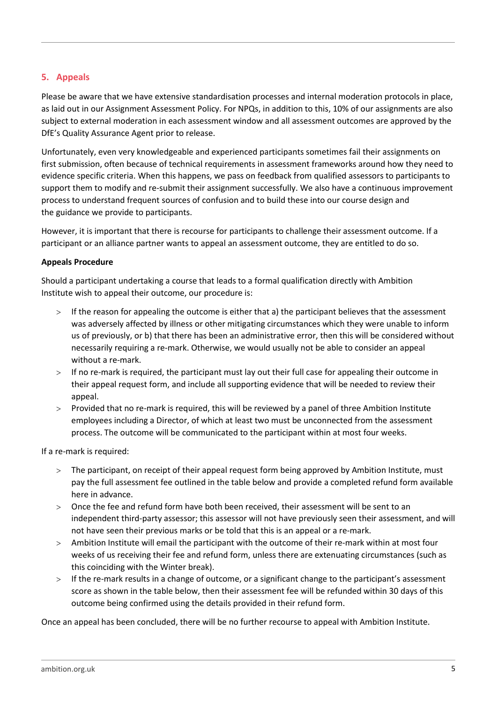# <span id="page-4-0"></span>**5. Appeals**

Please be aware that we have extensive standardisation processes and internal moderation protocols in place, as laid out in our Assignment Assessment Policy. For NPQs, in addition to this, 10% of our assignments are also subject to external moderation in each assessment window and all assessment outcomes are approved by the DfE's Quality Assurance Agent prior to release.

Unfortunately, even very knowledgeable and experienced participants sometimes fail their assignments on first submission, often because of technical requirements in assessment frameworks around how they need to evidence specific criteria. When this happens, we pass on feedback from qualified assessors to participants to support them to modify and re-submit their assignment successfully. We also have a continuous improvement process to understand frequent sources of confusion and to build these into our course design and the guidance we provide to participants.

However, it is important that there is recourse for participants to challenge their assessment outcome. If a participant or an alliance partner wants to appeal an assessment outcome, they are entitled to do so.

#### <span id="page-4-1"></span>**Appeals Procedure**

Should a participant undertaking a course that leads to a formal qualification directly with Ambition Institute wish to appeal their outcome, our procedure is:

- > If the reason for appealing the outcome is either that a) the participant believes that the assessment was adversely affected by illness or other mitigating circumstances which they were unable to inform us of previously, or b) that there has been an administrative error, then this will be considered without necessarily requiring a re-mark. Otherwise, we would usually not be able to consider an appeal without a re-mark.
- $>$  If no re-mark is required, the participant must lay out their full case for appealing their outcome in their appeal request form, and include all supporting evidence that will be needed to review their appeal.
- $>$  Provided that no re-mark is required, this will be reviewed by a panel of three Ambition Institute employees including a Director, of which at least two must be unconnected from the assessment process. The outcome will be communicated to the participant within at most four weeks.

If a re-mark is required:

- The participant, on receipt of their appeal request form being approved by Ambition Institute, must pay the full assessment fee outlined in the table below and provide a completed refund form available here in advance.
- Once the fee and refund form have both been received, their assessment will be sent to an independent third-party assessor; this assessor will not have previously seen their assessment, and will not have seen their previous marks or be told that this is an appeal or a re-mark.
- Ambition Institute will email the participant with the outcome of their re-mark within at most four weeks of us receiving their fee and refund form, unless there are extenuating circumstances (such as this coinciding with the Winter break).
- > If the re-mark results in a change of outcome, or a significant change to the participant's assessment score as shown in the table below, then their assessment fee will be refunded within 30 days of this outcome being confirmed using the details provided in their refund form.

Once an appeal has been concluded, there will be no further recourse to appeal with Ambition Institute.